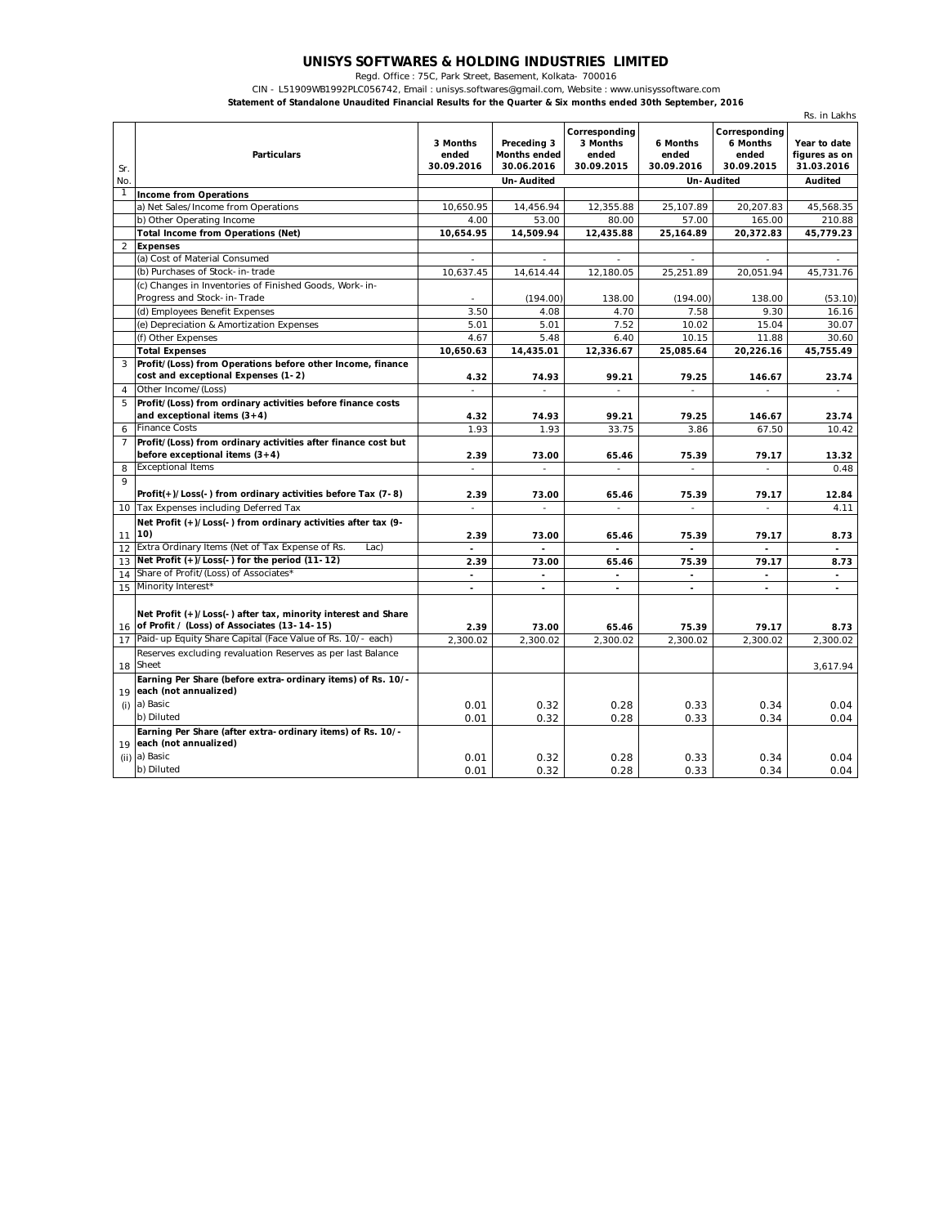## **UNISYS SOFTWARES & HOLDING INDUSTRIES LIMITED**

Regd. Office : 75C, Park Street, Basement, Kolkata- 700016

CIN - L51909WB1992PLC056742, Email : unisys.softwares@gmail.com, Website : www.unisyssoftware.com

**Statement of Standalone Unaudited Financial Results for the Quarter & Six months ended 30th September, 2016**

|                | Rs. in Lakhs                                                                                                    |                                 |                                                  |                                                  |                                 |                                                  |                                             |
|----------------|-----------------------------------------------------------------------------------------------------------------|---------------------------------|--------------------------------------------------|--------------------------------------------------|---------------------------------|--------------------------------------------------|---------------------------------------------|
| Sr.            | <b>Particulars</b>                                                                                              | 3 Months<br>ended<br>30.09.2016 | Preceding 3<br><b>Months ended</b><br>30.06.2016 | Corresponding<br>3 Months<br>ended<br>30.09.2015 | 6 Months<br>ended<br>30.09.2016 | Corresponding<br>6 Months<br>ended<br>30.09.2015 | Year to date<br>figures as on<br>31.03.2016 |
| No.            |                                                                                                                 |                                 | <b>Un-Audited</b>                                |                                                  |                                 | <b>Un-Audited</b>                                | <b>Audited</b>                              |
| $\mathbf{1}$   | <b>Income from Operations</b>                                                                                   |                                 |                                                  |                                                  |                                 |                                                  |                                             |
|                | a) Net Sales/Income from Operations                                                                             | 10.650.95                       | 14,456.94                                        | 12,355.88                                        | 25.107.89                       | 20,207.83                                        | 45,568.35                                   |
|                | b) Other Operating Income                                                                                       | 4.00                            | 53.00                                            | 80.00                                            | 57.00                           | 165.00                                           | 210.88                                      |
|                | <b>Total Income from Operations (Net)</b>                                                                       | 10,654.95                       | 14,509.94                                        | 12,435.88                                        | 25,164.89                       | 20,372.83                                        | 45,779.23                                   |
| $\overline{2}$ | <b>Expenses</b>                                                                                                 |                                 |                                                  |                                                  |                                 |                                                  |                                             |
|                | (a) Cost of Material Consumed                                                                                   | $\overline{\phantom{a}}$        | $\sim$                                           |                                                  | $\sim$                          | $\overline{a}$                                   |                                             |
|                | (b) Purchases of Stock-in-trade                                                                                 | 10,637.45                       | 14,614.44                                        | 12,180.05                                        | 25,251.89                       | 20,051.94                                        | 45,731.76                                   |
|                | (c) Changes in Inventories of Finished Goods, Work-in-                                                          |                                 |                                                  |                                                  |                                 |                                                  |                                             |
|                | Progress and Stock-in-Trade                                                                                     | $\sim$                          | (194.00)                                         | 138.00                                           | (194.00)                        | 138.00                                           | (53.10)                                     |
|                | (d) Employees Benefit Expenses                                                                                  | 3.50                            | 4.08                                             | 4.70                                             | 7.58                            | 9.30                                             | 16.16                                       |
|                | (e) Depreciation & Amortization Expenses                                                                        | 5.01                            | 5.01                                             | 7.52                                             | 10.02                           | 15.04                                            | 30.07                                       |
|                | (f) Other Expenses                                                                                              | 4.67                            | 5.48                                             | 6.40                                             | 10.15                           | 11.88                                            | 30.60                                       |
|                | <b>Total Expenses</b>                                                                                           | 10,650.63                       | 14,435.01                                        | 12,336.67                                        | 25,085.64                       | 20,226.16                                        | 45,755.49                                   |
|                | Profit/(Loss) from Operations before other Income, finance                                                      |                                 |                                                  |                                                  |                                 |                                                  |                                             |
|                | cost and exceptional Expenses (1-2)                                                                             | 4.32                            | 74.93                                            | 99.21                                            | 79.25                           | 146.67                                           | 23.74                                       |
| $\overline{4}$ | Other Income/(Loss)                                                                                             | $\overline{\phantom{a}}$        | $\overline{\phantom{a}}$                         | $\overline{\phantom{a}}$                         |                                 |                                                  | $\overline{\phantom{a}}$                    |
| 5              | Profit/(Loss) from ordinary activities before finance costs                                                     |                                 |                                                  |                                                  |                                 |                                                  |                                             |
|                | and exceptional items $(3+4)$                                                                                   | 4.32                            | 74.93                                            | 99.21                                            | 79.25                           | 146.67                                           | 23.74                                       |
| 6              | <b>Finance Costs</b>                                                                                            | 1.93                            | 1.93                                             | 33.75                                            | 3.86                            | 67.50                                            | 10.42                                       |
| $\overline{7}$ | Profit/(Loss) from ordinary activities after finance cost but                                                   |                                 |                                                  |                                                  |                                 |                                                  |                                             |
|                | before exceptional items $(3+4)$                                                                                | 2.39                            | 73.00                                            | 65.46                                            | 75.39                           | 79.17                                            | 13.32                                       |
| 8              | <b>Exceptional Items</b>                                                                                        | L,                              | ÷                                                | L.                                               | $\overline{a}$                  | $\overline{a}$                                   | 0.48                                        |
| $\overline{9}$ |                                                                                                                 |                                 |                                                  |                                                  |                                 |                                                  |                                             |
|                | Profit(+)/Loss(-) from ordinary activities before Tax (7-8)                                                     | 2.39                            | 73.00                                            | 65.46                                            | 75.39                           | 79.17                                            | 12.84                                       |
| 10             | Tax Expenses including Deferred Tax                                                                             | $\overline{a}$                  | ÷.                                               |                                                  | $\overline{a}$                  | $\overline{a}$                                   | 4.11                                        |
|                | Net Profit (+)/Loss(-) from ordinary activities after tax (9-                                                   |                                 |                                                  |                                                  |                                 |                                                  |                                             |
| 11             | 10)                                                                                                             | 2.39                            | 73.00                                            | 65.46                                            | 75.39                           | 79.17                                            | 8.73                                        |
| 12             | Extra Ordinary Items (Net of Tax Expense of Rs.<br>Lac)                                                         |                                 |                                                  |                                                  |                                 |                                                  |                                             |
| 13             | Net Profit (+)/Loss(-) for the period (11-12)                                                                   | 2.39                            | 73.00                                            | 65.46                                            | 75.39                           | 79.17                                            | 8.73                                        |
| 14             | Share of Profit/(Loss) of Associates*                                                                           | $\blacksquare$                  | $\blacksquare$                                   | L,                                               | $\blacksquare$                  |                                                  | $\sim$                                      |
| 15             | Minority Interest*                                                                                              | $\overline{a}$                  | $\sim$                                           | $\overline{a}$                                   | $\blacksquare$                  | $\blacksquare$                                   | $\blacksquare$                              |
|                | Net Profit (+)/Loss(-) after tax, minority interest and Share<br>16 of Profit / (Loss) of Associates (13-14-15) | 2.39                            | 73.00                                            | 65.46                                            | 75.39                           | 79.17                                            | 8.73                                        |
| 17             | Paid-up Equity Share Capital (Face Value of Rs. 10/- each)                                                      | 2.300.02                        | 2.300.02                                         | 2.300.02                                         | 2.300.02                        | 2.300.02                                         | 2,300.02                                    |
|                | Reserves excluding revaluation Reserves as per last Balance                                                     |                                 |                                                  |                                                  |                                 |                                                  |                                             |
| 18             | Sheet                                                                                                           |                                 |                                                  |                                                  |                                 |                                                  | 3,617.94                                    |
| 19             | Earning Per Share (before extra-ordinary items) of Rs. 10/-<br>each (not annualized)                            |                                 |                                                  |                                                  |                                 |                                                  |                                             |
| (i)            | a) Basic                                                                                                        | 0.01                            | 0.32                                             | 0.28                                             | 0.33                            | 0.34                                             | 0.04                                        |
|                | b) Diluted                                                                                                      | 0.01                            | 0.32                                             | 0.28                                             | 0.33                            | 0.34                                             | 0.04                                        |
|                | Earning Per Share (after extra-ordinary items) of Rs. 10/-                                                      |                                 |                                                  |                                                  |                                 |                                                  |                                             |
|                | 19 each (not annualized)                                                                                        |                                 |                                                  |                                                  |                                 |                                                  |                                             |
|                | (ii) a) Basic                                                                                                   | 0.01                            | 0.32                                             | 0.28                                             | 0.33                            | 0.34                                             | 0.04                                        |
|                | b) Diluted                                                                                                      | 0.01                            | 0.32                                             | 0.28                                             | 0.33                            | 0.34                                             | 0.04                                        |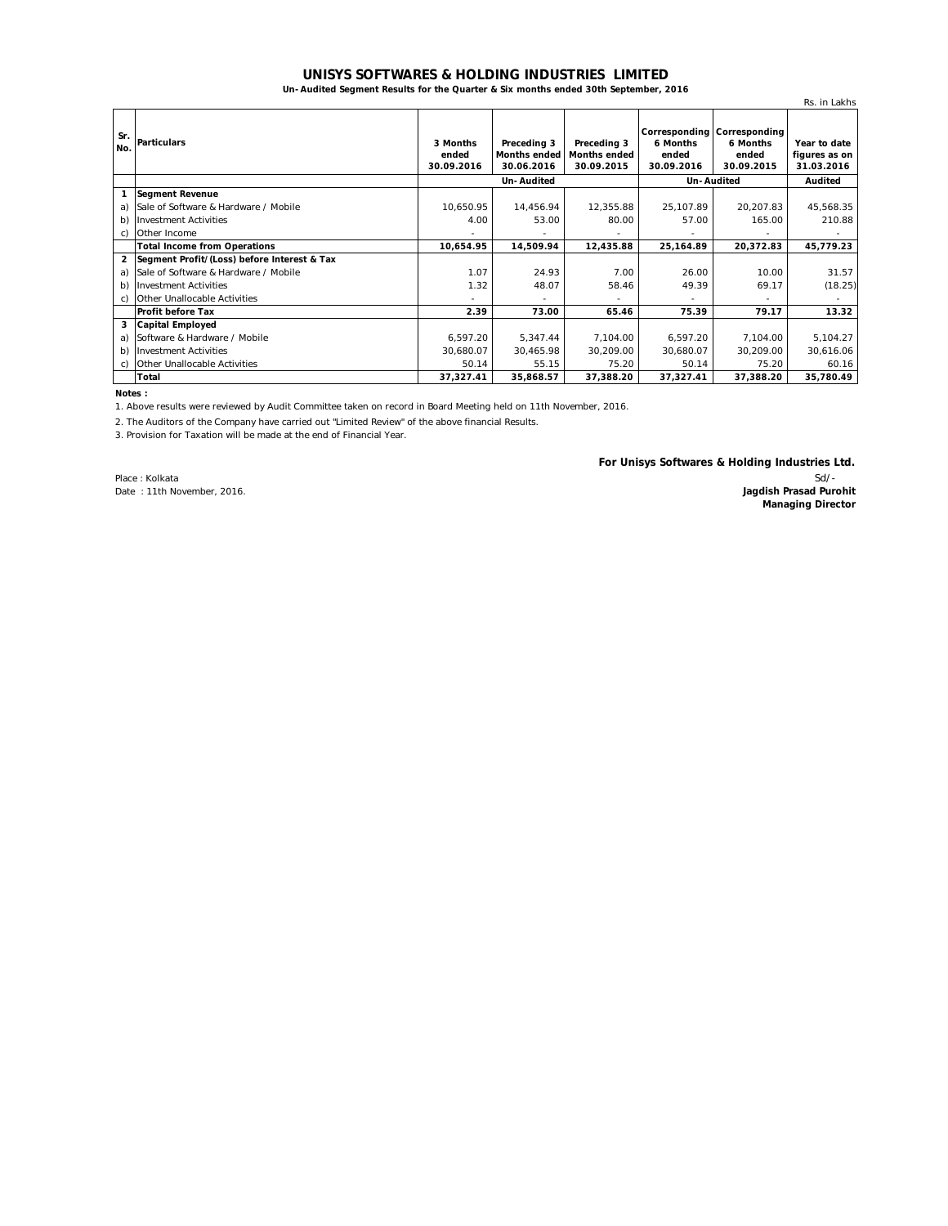## **UNISYS SOFTWARES & HOLDING INDUSTRIES LIMITED**

**Un-Audited Segment Results for the Quarter & Six months ended 30th September, 2016**

|                |                                             |                                 |                                                  |                                                  |                                 |                                                                | Rs. in Lakhs                                |
|----------------|---------------------------------------------|---------------------------------|--------------------------------------------------|--------------------------------------------------|---------------------------------|----------------------------------------------------------------|---------------------------------------------|
| Sr.<br>No.     | <b>Particulars</b>                          | 3 Months<br>ended<br>30.09.2016 | Preceding 3<br><b>Months ended</b><br>30.06.2016 | Preceding 3<br><b>Months ended</b><br>30.09.2015 | 6 Months<br>ended<br>30.09.2016 | Corresponding Corresponding<br>6 Months<br>ended<br>30.09.2015 | Year to date<br>figures as on<br>31.03.2016 |
|                |                                             | <b>Un-Audited</b>               |                                                  |                                                  | Un-Audited                      |                                                                | Audited                                     |
| 1              | <b>Segment Revenue</b>                      |                                 |                                                  |                                                  |                                 |                                                                |                                             |
| a)             | Sale of Software & Hardware / Mobile        | 10,650.95                       | 14,456.94                                        | 12,355.88                                        | 25,107.89                       | 20,207.83                                                      | 45,568.35                                   |
| b)             | <b>Investment Activities</b>                | 4.00                            | 53.00                                            | 80.00                                            | 57.00                           | 165.00                                                         | 210.88                                      |
| C)             | Other Income                                |                                 |                                                  |                                                  |                                 |                                                                |                                             |
|                | <b>Total Income from Operations</b>         | 10,654.95                       | 14,509.94                                        | 12,435.88                                        | 25,164.89                       | 20,372.83                                                      | 45,779.23                                   |
| $\overline{2}$ | Segment Profit/(Loss) before Interest & Tax |                                 |                                                  |                                                  |                                 |                                                                |                                             |
| a)             | Sale of Software & Hardware / Mobile        | 1.07                            | 24.93                                            | 7.00                                             | 26.00                           | 10.00                                                          | 31.57                                       |
| b)             | <b>Investment Activities</b>                | 1.32                            | 48.07                                            | 58.46                                            | 49.39                           | 69.17                                                          | (18.25)                                     |
| C)             | Other Unallocable Activities                | ۰                               | ٠                                                |                                                  | ۰                               |                                                                |                                             |
|                | <b>Profit before Tax</b>                    | 2.39                            | 73.00                                            | 65.46                                            | 75.39                           | 79.17                                                          | 13.32                                       |
| 3              | <b>Capital Employed</b>                     |                                 |                                                  |                                                  |                                 |                                                                |                                             |
| a)             | Software & Hardware / Mobile                | 6,597.20                        | 5,347.44                                         | 7,104.00                                         | 6,597.20                        | 7,104.00                                                       | 5,104.27                                    |
| b)             | <b>Investment Activities</b>                | 30,680.07                       | 30,465.98                                        | 30,209.00                                        | 30,680.07                       | 30,209.00                                                      | 30,616.06                                   |
| C)             | Other Unallocable Activities                | 50.14                           | 55.15                                            | 75.20                                            | 50.14                           | 75.20                                                          | 60.16                                       |
|                | Total                                       | 37,327.41                       | 35,868.57                                        | 37,388.20                                        | 37,327.41                       | 37,388.20                                                      | 35,780.49                                   |

**Notes :**

1. Above results were reviewed by Audit Committee taken on record in Board Meeting held on 11th November, 2016.

2. The Auditors of the Company have carried out "Limited Review" of the above financial Results.

3. Provision for Taxation will be made at the end of Financial Year.

**For Unisys Softwares & Holding Industries Ltd.**

Place : Kolkata Date : 11th November, 2016.

Sd/- **Jagdish Prasad Purohit Managing Director**